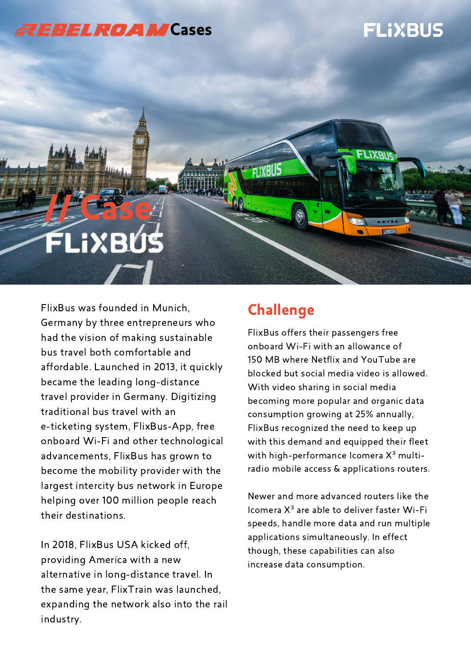### *<b>REBELROAM* Cases

## **FLIXBUS**

# **Lecase EUSX**i

FlixBus was founded in Munich, Germany by three entrepreneurs who had the vision of making sustainable bus travel both comfortable and affordable. Launched in 2013, it quickly became the leading long-distance travel provider in Germany. Digitizing traditional bus travel with an e-ticketing system, FlixBus-App, free onboard Wi-Fi and other technological advancements, FlixBus has grown to become the mobility provider with the largest intercity bus network in Europe helping over 100 million people reach their destinations.

In 2018, FlixBus USA kicked off, providing America with a new alternative in long-distance travel. In the same year, FlixTrain was launched, expanding the network also into the rail industry.

#### **Challenge**

FI IXBI

FlixBus offers their passengers free onboard Wi-Fi with an allowance of 150 MB where Netflix and YouTube are blocked but social media video is allowed. With video sharing in social media becoming more popular and organic data consumption growing at 25% annually, FlixBus recognized the need to keep up with this demand and equipped their fleet with high-performance Icomera  $X^3$  multiradio mobile access & applications routers.

Newer and more advanced routers like the Icomera  $X^3$  are able to deliver faster Wi-Fi speeds, handle more data and run multiple applications simultaneously. In effect though, these capabilities can also increase data consumption.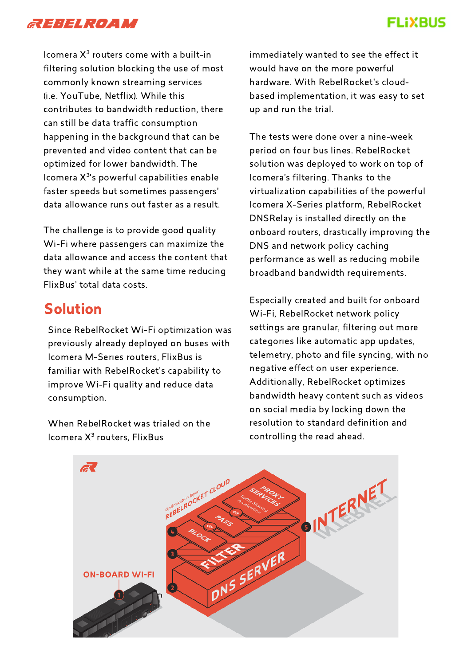

#### **FLIXBUS**

Icomera  $X^3$  routers come with a built-in filtering solution blocking the use of most commonly known streaming services (i.e. YouTube, Netflix). While this contributes to bandwidth reduction, there can still be data traffic consumption happening in the background that can be prevented and video content that can be optimized for lower bandwidth. The Icomera  $X^{3}$ 's powerful capabilities enable faster speeds but sometimes passengers' data allowance runs out faster as a result.

The challenge is to provide good quality Wi-Fi where passengers can maximize the data allowance and access the content that they want while at the same time reducing FlixBus' total data costs.

#### Solution

Since RebelRocket Wi-Fi optimization was previously already deployed on buses with Icomera M-Series routers, FlixBus is familiar with RebelRocket's capability to improve Wi-Fi quality and reduce data consumption.

When RebelRocket was trialed on the Icomera X³ routers, FlixBus

immediately wanted to see the effect it would have on the more powerful hardware. With RebelRocket's cloudbased implementation, it was easy to set up and run the trial.

The tests were done over a nine-week period on four bus lines. RebelRocket solution was deployed to work on top of Icomera's filtering. Thanks to the virtualization capabilities of the powerful Icomera X-Series platform, RebelRocket DNSRelay is installed directly on the onboard routers, drastically improving the DNS and network policy caching performance as well as reducing mobile broadband bandwidth requirements.

Especially created and built for onboard Wi-Fi, RebelRocket network policy settings are granular, filtering out more categories like automatic app updates, telemetry, photo and file syncing, with no negative effect on user experience. Additionally, RebelRocket optimizes bandwidth heavy content such as videos on social media by locking down the resolution to standard definition and controlling the read ahead.

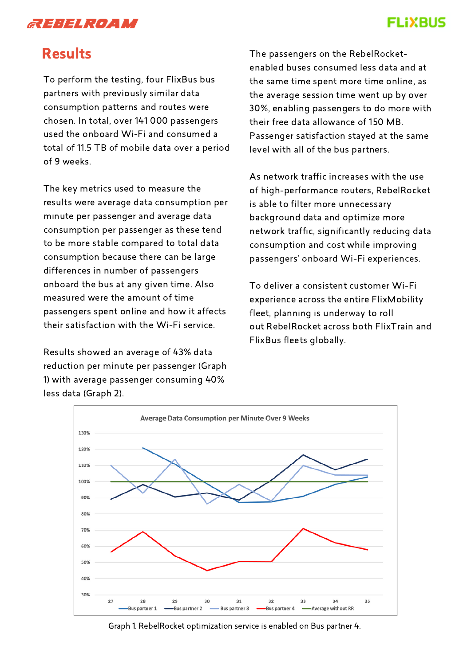

#### **FLIXBUS**

#### Results

To perform the testing, four FlixBus bus partners with previously similar data consumption patterns and routes were chosen. In total, over 141 000 passengers used the onboard Wi-Fi and consumed a total of 11.5 TB of mobile data over a period of 9 weeks.

The key metrics used to measure the results were average data consumption per minute per passenger and average data consumption per passenger as these tend to be more stable compared to total data consumption because there can be large differences in number of passengers onboard the bus at any given time. Also measured were the amount of time passengers spent online and how it affects their satisfaction with the Wi-Fi service.

Results showed an average of 43% data reduction per minute per passenger (Graph 1) with average passenger consuming 40% less data (Graph 2).

The passengers on the RebelRocketenabled buses consumed less data and at the same time spent more time online, as the average session time went up by over 30%, enabling passengers to do more with their free data allowance of 150 MB. Passenger satisfaction stayed at the same level with all of the bus partners.

As network traffic increases with the use of high-performance routers, RebelRocket is able to filter more unnecessary background data and optimize more network traffic, significantly reducing data consumption and cost while improving passengers' onboard Wi-Fi experiences.

To deliver a consistent customer Wi-Fi experience across the entire FlixMobility fleet, planning is underway to roll out RebelRocket across both FlixTrain and FlixBus fleets globally.